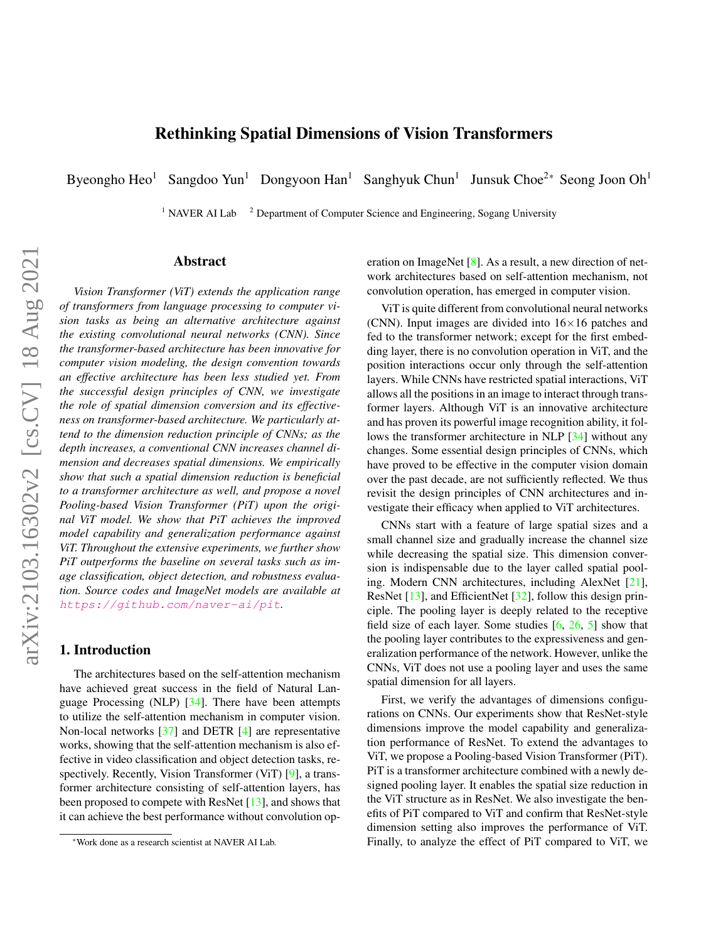# Rethinking Spatial Dimensions of Vision Transformers

<span id="page-0-0"></span>Byeongho Heo<sup>1</sup> Sangdoo Yun<sup>1</sup> Dongyoon Han<sup>1</sup> Sanghyuk Chun<sup>1</sup> Junsuk Choe<sup>2\*</sup> Seong Joon Oh<sup>1</sup>

<sup>1</sup> NAVER AI Lab  $^2$  Department of Computer Science and Engineering, Sogang University

## Abstract

*Vision Transformer (ViT) extends the application range of transformers from language processing to computer vision tasks as being an alternative architecture against the existing convolutional neural networks (CNN). Since the transformer-based architecture has been innovative for computer vision modeling, the design convention towards an effective architecture has been less studied yet. From the successful design principles of CNN, we investigate the role of spatial dimension conversion and its effectiveness on transformer-based architecture. We particularly attend to the dimension reduction principle of CNNs; as the depth increases, a conventional CNN increases channel dimension and decreases spatial dimensions. We empirically show that such a spatial dimension reduction is beneficial to a transformer architecture as well, and propose a novel Pooling-based Vision Transformer (PiT) upon the original ViT model. We show that PiT achieves the improved model capability and generalization performance against ViT. Throughout the extensive experiments, we further show PiT outperforms the baseline on several tasks such as image classification, object detection, and robustness evaluation. Source codes and ImageNet models are available at* <https://github.com/naver-ai/pit>*.*

## 1. Introduction

The architectures based on the self-attention mechanism have achieved great success in the field of Natural Language Processing (NLP) [\[34\]](#page-9-0). There have been attempts to utilize the self-attention mechanism in computer vision. Non-local networks [\[37\]](#page-9-1) and DETR [\[4\]](#page-8-0) are representative works, showing that the self-attention mechanism is also effective in video classification and object detection tasks, re-spectively. Recently, Vision Transformer (ViT) [\[9\]](#page-8-1), a transformer architecture consisting of self-attention layers, has been proposed to compete with ResNet [\[13\]](#page-8-2), and shows that it can achieve the best performance without convolution operation on ImageNet [\[8\]](#page-8-3). As a result, a new direction of network architectures based on self-attention mechanism, not convolution operation, has emerged in computer vision.

ViT is quite different from convolutional neural networks (CNN). Input images are divided into  $16\times16$  patches and fed to the transformer network; except for the first embedding layer, there is no convolution operation in ViT, and the position interactions occur only through the self-attention layers. While CNNs have restricted spatial interactions, ViT allows all the positions in an image to interact through transformer layers. Although ViT is an innovative architecture and has proven its powerful image recognition ability, it follows the transformer architecture in NLP [\[34\]](#page-9-0) without any changes. Some essential design principles of CNNs, which have proved to be effective in the computer vision domain over the past decade, are not sufficiently reflected. We thus revisit the design principles of CNN architectures and investigate their efficacy when applied to ViT architectures.

CNNs start with a feature of large spatial sizes and a small channel size and gradually increase the channel size while decreasing the spatial size. This dimension conversion is indispensable due to the layer called spatial pooling. Modern CNN architectures, including AlexNet [\[21\]](#page-8-4), ResNet [\[13\]](#page-8-2), and EfficientNet [\[32\]](#page-9-2), follow this design principle. The pooling layer is deeply related to the receptive field size of each layer. Some studies  $[6, 26, 5]$  $[6, 26, 5]$  $[6, 26, 5]$  $[6, 26, 5]$  $[6, 26, 5]$  show that the pooling layer contributes to the expressiveness and generalization performance of the network. However, unlike the CNNs, ViT does not use a pooling layer and uses the same spatial dimension for all layers.

First, we verify the advantages of dimensions configurations on CNNs. Our experiments show that ResNet-style dimensions improve the model capability and generalization performance of ResNet. To extend the advantages to ViT, we propose a Pooling-based Vision Transformer (PiT). PiT is a transformer architecture combined with a newly designed pooling layer. It enables the spatial size reduction in the ViT structure as in ResNet. We also investigate the benefits of PiT compared to ViT and confirm that ResNet-style dimension setting also improves the performance of ViT. Finally, to analyze the effect of PiT compared to ViT, we

<sup>\*</sup>Work done as a research scientist at NAVER AI Lab.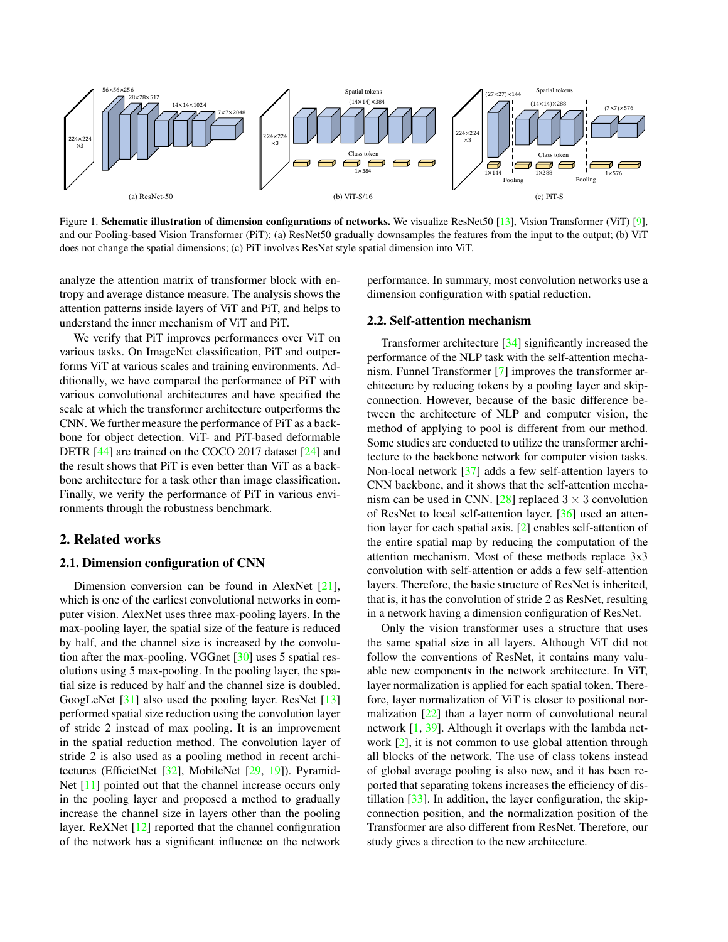<span id="page-1-1"></span><span id="page-1-0"></span>

Figure 1. Schematic illustration of dimension configurations of networks. We visualize ResNet50 [\[13\]](#page-8-2), Vision Transformer (ViT) [\[9\]](#page-8-1), and our Pooling-based Vision Transformer (PiT); (a) ResNet50 gradually downsamples the features from the input to the output; (b) ViT does not change the spatial dimensions; (c) PiT involves ResNet style spatial dimension into ViT.

analyze the attention matrix of transformer block with entropy and average distance measure. The analysis shows the attention patterns inside layers of ViT and PiT, and helps to understand the inner mechanism of ViT and PiT.

We verify that PiT improves performances over ViT on various tasks. On ImageNet classification, PiT and outperforms ViT at various scales and training environments. Additionally, we have compared the performance of PiT with various convolutional architectures and have specified the scale at which the transformer architecture outperforms the CNN. We further measure the performance of PiT as a backbone for object detection. ViT- and PiT-based deformable DETR [\[44\]](#page-9-3) are trained on the COCO 2017 dataset [\[24\]](#page-8-8) and the result shows that PiT is even better than ViT as a backbone architecture for a task other than image classification. Finally, we verify the performance of PiT in various environments through the robustness benchmark.

## 2. Related works

### 2.1. Dimension configuration of CNN

Dimension conversion can be found in AlexNet [\[21\]](#page-8-4), which is one of the earliest convolutional networks in computer vision. AlexNet uses three max-pooling layers. In the max-pooling layer, the spatial size of the feature is reduced by half, and the channel size is increased by the convolution after the max-pooling. VGGnet [\[30\]](#page-9-4) uses 5 spatial resolutions using 5 max-pooling. In the pooling layer, the spatial size is reduced by half and the channel size is doubled. GoogLeNet [\[31\]](#page-9-5) also used the pooling layer. ResNet [\[13\]](#page-8-2) performed spatial size reduction using the convolution layer of stride 2 instead of max pooling. It is an improvement in the spatial reduction method. The convolution layer of stride 2 is also used as a pooling method in recent architectures (EfficietNet [\[32\]](#page-9-2), MobileNet [\[29,](#page-9-6) [19\]](#page-8-9)). Pyramid-Net [\[11\]](#page-8-10) pointed out that the channel increase occurs only in the pooling layer and proposed a method to gradually increase the channel size in layers other than the pooling layer. ReXNet [\[12\]](#page-8-11) reported that the channel configuration of the network has a significant influence on the network

performance. In summary, most convolution networks use a dimension configuration with spatial reduction.

### 2.2. Self-attention mechanism

Transformer architecture [\[34\]](#page-9-0) significantly increased the performance of the NLP task with the self-attention mechanism. Funnel Transformer [\[7\]](#page-8-12) improves the transformer architecture by reducing tokens by a pooling layer and skipconnection. However, because of the basic difference between the architecture of NLP and computer vision, the method of applying to pool is different from our method. Some studies are conducted to utilize the transformer architecture to the backbone network for computer vision tasks. Non-local network [\[37\]](#page-9-1) adds a few self-attention layers to CNN backbone, and it shows that the self-attention mecha-nism can be used in CNN. [\[28\]](#page-9-7) replaced  $3 \times 3$  convolution of ResNet to local self-attention layer. [\[36\]](#page-9-8) used an attention layer for each spatial axis. [\[2\]](#page-8-13) enables self-attention of the entire spatial map by reducing the computation of the attention mechanism. Most of these methods replace 3x3 convolution with self-attention or adds a few self-attention layers. Therefore, the basic structure of ResNet is inherited, that is, it has the convolution of stride 2 as ResNet, resulting in a network having a dimension configuration of ResNet.

Only the vision transformer uses a structure that uses the same spatial size in all layers. Although ViT did not follow the conventions of ResNet, it contains many valuable new components in the network architecture. In ViT, layer normalization is applied for each spatial token. Therefore, layer normalization of ViT is closer to positional normalization [\[22\]](#page-8-14) than a layer norm of convolutional neural network [\[1,](#page-8-15) [39\]](#page-9-9). Although it overlaps with the lambda network [\[2\]](#page-8-13), it is not common to use global attention through all blocks of the network. The use of class tokens instead of global average pooling is also new, and it has been reported that separating tokens increases the efficiency of distillation [\[33\]](#page-9-10). In addition, the layer configuration, the skipconnection position, and the normalization position of the Transformer are also different from ResNet. Therefore, our study gives a direction to the new architecture.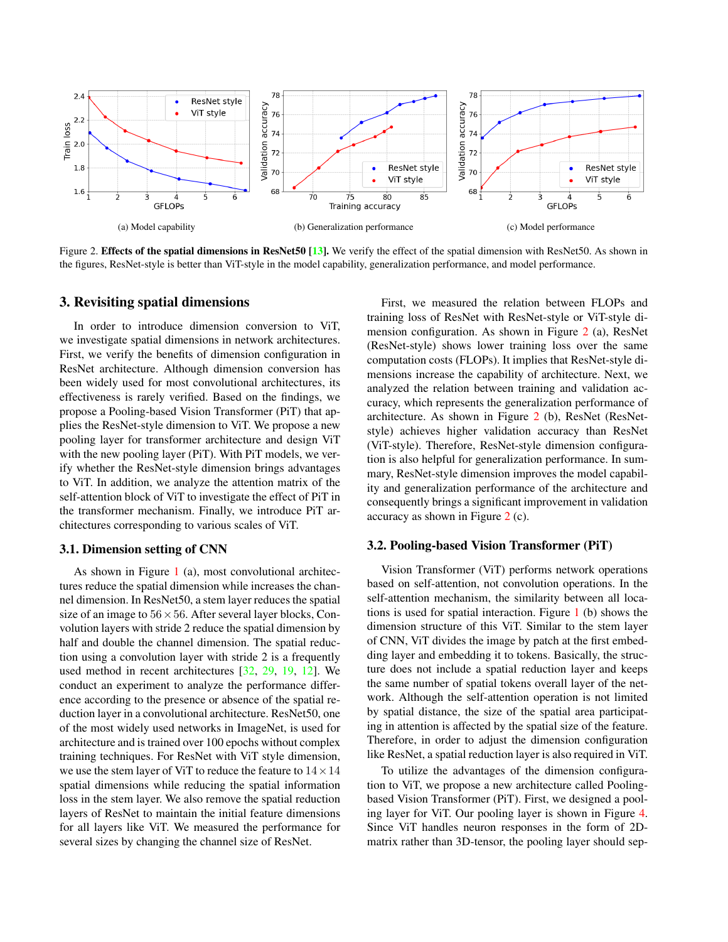<span id="page-2-1"></span><span id="page-2-0"></span>

Figure 2. Effects of the spatial dimensions in ResNet50 [\[13\]](#page-8-2). We verify the effect of the spatial dimension with ResNet50. As shown in the figures, ResNet-style is better than ViT-style in the model capability, generalization performance, and model performance.

#### 3. Revisiting spatial dimensions

In order to introduce dimension conversion to ViT, we investigate spatial dimensions in network architectures. First, we verify the benefits of dimension configuration in ResNet architecture. Although dimension conversion has been widely used for most convolutional architectures, its effectiveness is rarely verified. Based on the findings, we propose a Pooling-based Vision Transformer (PiT) that applies the ResNet-style dimension to ViT. We propose a new pooling layer for transformer architecture and design ViT with the new pooling layer (PiT). With PiT models, we verify whether the ResNet-style dimension brings advantages to ViT. In addition, we analyze the attention matrix of the self-attention block of ViT to investigate the effect of PiT in the transformer mechanism. Finally, we introduce PiT architectures corresponding to various scales of ViT.

### 3.1. Dimension setting of CNN

As shown in Figure [1](#page-1-0) (a), most convolutional architectures reduce the spatial dimension while increases the channel dimension. In ResNet50, a stem layer reduces the spatial size of an image to  $56 \times 56$ . After several layer blocks, Convolution layers with stride 2 reduce the spatial dimension by half and double the channel dimension. The spatial reduction using a convolution layer with stride 2 is a frequently used method in recent architectures [\[32,](#page-9-2) [29,](#page-9-6) [19,](#page-8-9) [12\]](#page-8-11). We conduct an experiment to analyze the performance difference according to the presence or absence of the spatial reduction layer in a convolutional architecture. ResNet50, one of the most widely used networks in ImageNet, is used for architecture and is trained over 100 epochs without complex training techniques. For ResNet with ViT style dimension, we use the stem layer of ViT to reduce the feature to  $14 \times 14$ spatial dimensions while reducing the spatial information loss in the stem layer. We also remove the spatial reduction layers of ResNet to maintain the initial feature dimensions for all layers like ViT. We measured the performance for several sizes by changing the channel size of ResNet.

First, we measured the relation between FLOPs and training loss of ResNet with ResNet-style or ViT-style dimension configuration. As shown in Figure [2](#page-2-0) (a), ResNet (ResNet-style) shows lower training loss over the same computation costs (FLOPs). It implies that ResNet-style dimensions increase the capability of architecture. Next, we analyzed the relation between training and validation accuracy, which represents the generalization performance of architecture. As shown in Figure [2](#page-2-0) (b), ResNet (ResNetstyle) achieves higher validation accuracy than ResNet (ViT-style). Therefore, ResNet-style dimension configuration is also helpful for generalization performance. In summary, ResNet-style dimension improves the model capability and generalization performance of the architecture and consequently brings a significant improvement in validation accuracy as shown in Figure [2](#page-2-0) (c).

#### 3.2. Pooling-based Vision Transformer (PiT)

Vision Transformer (ViT) performs network operations based on self-attention, not convolution operations. In the self-attention mechanism, the similarity between all locations is used for spatial interaction. Figure [1](#page-1-0) (b) shows the dimension structure of this ViT. Similar to the stem layer of CNN, ViT divides the image by patch at the first embedding layer and embedding it to tokens. Basically, the structure does not include a spatial reduction layer and keeps the same number of spatial tokens overall layer of the network. Although the self-attention operation is not limited by spatial distance, the size of the spatial area participating in attention is affected by the spatial size of the feature. Therefore, in order to adjust the dimension configuration like ResNet, a spatial reduction layer is also required in ViT.

To utilize the advantages of the dimension configuration to ViT, we propose a new architecture called Poolingbased Vision Transformer (PiT). First, we designed a pooling layer for ViT. Our pooling layer is shown in Figure [4.](#page-3-0) Since ViT handles neuron responses in the form of 2Dmatrix rather than 3D-tensor, the pooling layer should sep-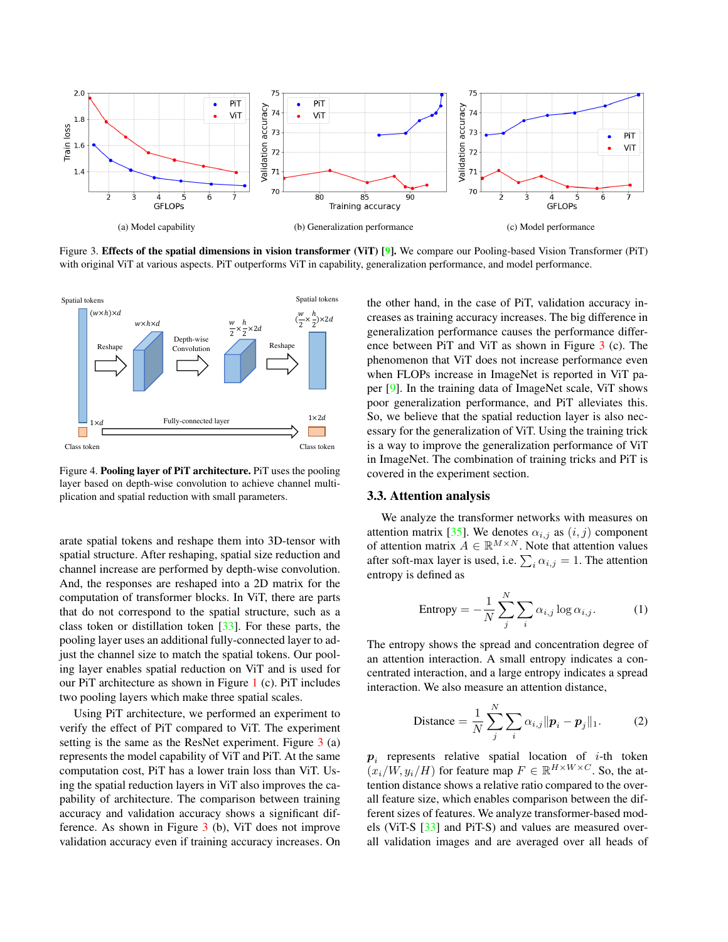<span id="page-3-2"></span><span id="page-3-1"></span>

Figure 3. Effects of the spatial dimensions in vision transformer (ViT) [\[9\]](#page-8-1). We compare our Pooling-based Vision Transformer (PiT) with original ViT at various aspects. PiT outperforms ViT in capability, generalization performance, and model performance.

<span id="page-3-0"></span>

Figure 4. Pooling layer of PiT architecture. PiT uses the pooling layer based on depth-wise convolution to achieve channel multiplication and spatial reduction with small parameters.

arate spatial tokens and reshape them into 3D-tensor with spatial structure. After reshaping, spatial size reduction and channel increase are performed by depth-wise convolution. And, the responses are reshaped into a 2D matrix for the computation of transformer blocks. In ViT, there are parts that do not correspond to the spatial structure, such as a class token or distillation token [\[33\]](#page-9-10). For these parts, the pooling layer uses an additional fully-connected layer to adjust the channel size to match the spatial tokens. Our pooling layer enables spatial reduction on ViT and is used for our PiT architecture as shown in Figure [1](#page-1-0) (c). PiT includes two pooling layers which make three spatial scales.

Using PiT architecture, we performed an experiment to verify the effect of PiT compared to ViT. The experiment setting is the same as the ResNet experiment. Figure [3](#page-3-1) (a) represents the model capability of ViT and PiT. At the same computation cost, PiT has a lower train loss than ViT. Using the spatial reduction layers in ViT also improves the capability of architecture. The comparison between training accuracy and validation accuracy shows a significant difference. As shown in Figure [3](#page-3-1) (b), ViT does not improve validation accuracy even if training accuracy increases. On the other hand, in the case of PiT, validation accuracy increases as training accuracy increases. The big difference in generalization performance causes the performance difference between PiT and ViT as shown in Figure [3](#page-3-1) (c). The phenomenon that ViT does not increase performance even when FLOPs increase in ImageNet is reported in ViT paper [\[9\]](#page-8-1). In the training data of ImageNet scale, ViT shows poor generalization performance, and PiT alleviates this. So, we believe that the spatial reduction layer is also necessary for the generalization of ViT. Using the training trick is a way to improve the generalization performance of ViT in ImageNet. The combination of training tricks and PiT is covered in the experiment section.

## 3.3. Attention analysis

We analyze the transformer networks with measures on attention matrix [\[35\]](#page-9-11). We denotes  $\alpha_{i,j}$  as  $(i, j)$  component of attention matrix  $A \in \mathbb{R}^{M \times N}$ . Note that attention values after soft-max layer is used, i.e.  $\sum_i \alpha_{i,j} = 1$ . The attention entropy is defined as

Entropy = 
$$
-\frac{1}{N} \sum_{j}^{N} \sum_{i} \alpha_{i,j} \log \alpha_{i,j}.
$$
 (1)

The entropy shows the spread and concentration degree of an attention interaction. A small entropy indicates a concentrated interaction, and a large entropy indicates a spread interaction. We also measure an attention distance,

$$
\text{Distance} = \frac{1}{N} \sum_{j}^{N} \sum_{i} \alpha_{i,j} ||\boldsymbol{p}_i - \boldsymbol{p}_j||_1. \tag{2}
$$

 $p_i$  represents relative spatial location of *i*-th token  $(x_i/W, y_i/H)$  for feature map  $F \in \mathbb{R}^{H \times W \times C}$ . So, the attention distance shows a relative ratio compared to the overall feature size, which enables comparison between the different sizes of features. We analyze transformer-based models (ViT-S [\[33\]](#page-9-10) and PiT-S) and values are measured overall validation images and are averaged over all heads of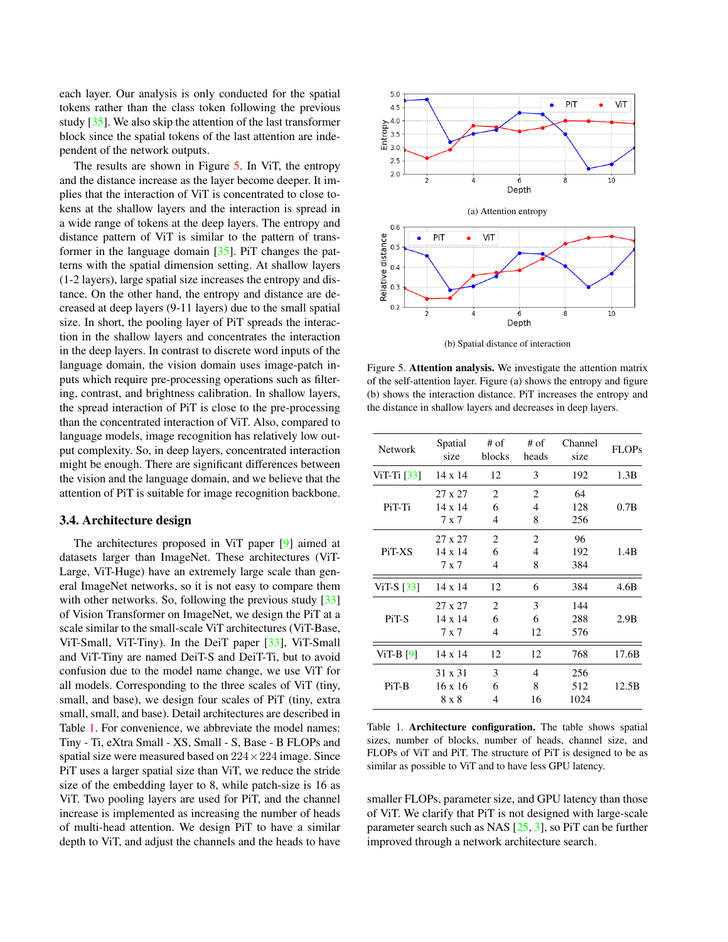<span id="page-4-2"></span>each layer. Our analysis is only conducted for the spatial tokens rather than the class token following the previous study [\[35\]](#page-9-11). We also skip the attention of the last transformer block since the spatial tokens of the last attention are independent of the network outputs.

The results are shown in Figure [5.](#page-4-0) In ViT, the entropy and the distance increase as the layer become deeper. It implies that the interaction of ViT is concentrated to close tokens at the shallow layers and the interaction is spread in a wide range of tokens at the deep layers. The entropy and distance pattern of ViT is similar to the pattern of transformer in the language domain [\[35\]](#page-9-11). PiT changes the patterns with the spatial dimension setting. At shallow layers (1-2 layers), large spatial size increases the entropy and distance. On the other hand, the entropy and distance are decreased at deep layers (9-11 layers) due to the small spatial size. In short, the pooling layer of PiT spreads the interaction in the shallow layers and concentrates the interaction in the deep layers. In contrast to discrete word inputs of the language domain, the vision domain uses image-patch inputs which require pre-processing operations such as filtering, contrast, and brightness calibration. In shallow layers, the spread interaction of PiT is close to the pre-processing than the concentrated interaction of ViT. Also, compared to language models, image recognition has relatively low output complexity. So, in deep layers, concentrated interaction might be enough. There are significant differences between the vision and the language domain, and we believe that the attention of PiT is suitable for image recognition backbone.

#### 3.4. Architecture design

The architectures proposed in ViT paper [\[9\]](#page-8-1) aimed at datasets larger than ImageNet. These architectures (ViT-Large, ViT-Huge) have an extremely large scale than general ImageNet networks, so it is not easy to compare them with other networks. So, following the previous study [\[33\]](#page-9-10) of Vision Transformer on ImageNet, we design the PiT at a scale similar to the small-scale ViT architectures (ViT-Base, ViT-Small, ViT-Tiny). In the DeiT paper [\[33\]](#page-9-10), ViT-Small and ViT-Tiny are named DeiT-S and DeiT-Ti, but to avoid confusion due to the model name change, we use ViT for all models. Corresponding to the three scales of ViT (tiny, small, and base), we design four scales of PiT (tiny, extra small, small, and base). Detail architectures are described in Table [1.](#page-4-1) For convenience, we abbreviate the model names: Tiny - Ti, eXtra Small - XS, Small - S, Base - B FLOPs and spatial size were measured based on  $224 \times 224$  image. Since PiT uses a larger spatial size than ViT, we reduce the stride size of the embedding layer to 8, while patch-size is 16 as ViT. Two pooling layers are used for PiT, and the channel increase is implemented as increasing the number of heads of multi-head attention. We design PiT to have a similar depth to ViT, and adjust the channels and the heads to have

<span id="page-4-0"></span>

(b) Spatial distance of interaction

Figure 5. Attention analysis. We investigate the attention matrix of the self-attention layer. Figure (a) shows the entropy and figure (b) shows the interaction distance. PiT increases the entropy and the distance in shallow layers and decreases in deep layers.

<span id="page-4-1"></span>

| Network                  | Spatial<br>size                    | # of<br>blocks           | $#$ of<br>heads | Channel<br>size    | <b>FLOPs</b> |
|--------------------------|------------------------------------|--------------------------|-----------------|--------------------|--------------|
| $ViT-Ti [33]$            | $14 \times 14$                     | 12                       | 3               | 192                | 1.3B         |
| PiT-Ti                   | 27 x 27<br>$14 \times 14$<br>7 x 7 | 2<br>6<br>4              | 2<br>4<br>8     | 64<br>128<br>256   | 0.7B         |
| PiT-XS                   | 27 x 27<br>$14 \times 14$<br>7 x 7 | $\overline{c}$<br>6<br>4 | 2<br>4<br>8     | 96<br>192<br>384   | 1.4B         |
| ViT-S $\lceil 33 \rceil$ | 14 x 14                            | 12                       | 6               | 384                | 4.6B         |
| PiT-S                    | 27 x 27<br>$14 \times 14$<br>7 x 7 | 2<br>6<br>4              | 3<br>6<br>12    | 144<br>288<br>576  | 2.9B         |
| ViT-B $[9]$              | $14 \times 14$                     | 12                       | 12              | 768                | 17.6B        |
| $Pi$ -B                  | 31 x 31<br>$16 \times 16$<br>8 x 8 | 3<br>6<br>4              | 4<br>8<br>16    | 256<br>512<br>1024 | 12.5B        |

Table 1. Architecture configuration. The table shows spatial sizes, number of blocks, number of heads, channel size, and FLOPs of ViT and PiT. The structure of PiT is designed to be as similar as possible to ViT and to have less GPU latency.

smaller FLOPs, parameter size, and GPU latency than those of ViT. We clarify that PiT is not designed with large-scale parameter search such as NAS  $[25, 3]$  $[25, 3]$  $[25, 3]$ , so PiT can be further improved through a network architecture search.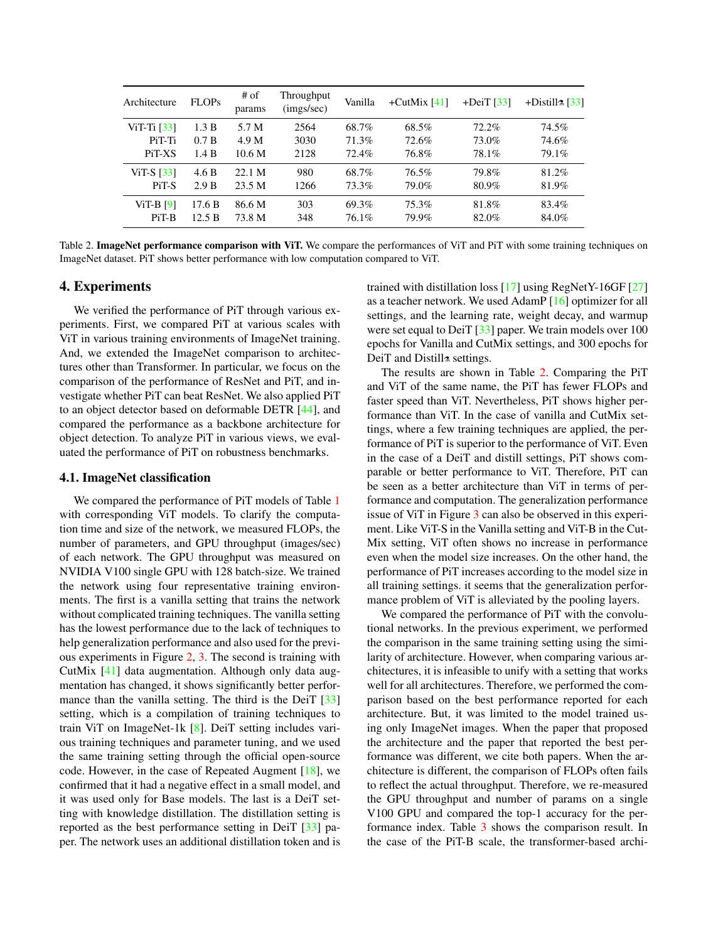<span id="page-5-1"></span><span id="page-5-0"></span>

| Architecture             | <b>FLOPs</b> | # of<br>params    | Throughput<br>(imgs/sec) | Vanilla | $+$ CutMix [41] | $+$ DeiT [ $33$ ] | +Distill $\approx$ [33] |
|--------------------------|--------------|-------------------|--------------------------|---------|-----------------|-------------------|-------------------------|
| ViT-Ti $\left[33\right]$ | 1.3 B        | 5.7 M             | 2564                     | 68.7%   | 68.5%           | $72.2\%$          | 74.5%                   |
| PiT-Ti                   | 0.7 B        | 4.9 M             | 3030                     | 71.3%   | 72.6%           | 73.0%             | 74.6%                   |
| PiT-XS                   | 1.4 B        | 10.6 <sub>M</sub> | 2128                     | 72.4%   | 76.8%           | 78.1%             | 79.1%                   |
| ViT-S $\left[33\right]$  | 4.6 B        | 22.1 M            | 980                      | 68.7%   | 76.5%           | 79.8%             | 81.2%                   |
| PiT-S                    | 2.9 B        | 23.5 M            | 1266                     | 73.3%   | 79.0%           | 80.9%             | 81.9%                   |
| $ViT-B [9]$              | 17.6 B       | 86.6 M            | 303                      | 69.3%   | 75.3%           | 81.8%             | 83.4%                   |
| $Pi$ -B                  | 12.5 B       | 73.8 M            | 348                      | 76.1%   | 79.9%           | 82.0%             | 84.0%                   |

Table 2. **ImageNet performance comparison with ViT.** We compare the performances of ViT and PiT with some training techniques on ImageNet dataset. PiT shows better performance with low computation compared to ViT.

## 4. Experiments

We verified the performance of PiT through various experiments. First, we compared PiT at various scales with ViT in various training environments of ImageNet training. And, we extended the ImageNet comparison to architectures other than Transformer. In particular, we focus on the comparison of the performance of ResNet and PiT, and investigate whether PiT can beat ResNet. We also applied PiT to an object detector based on deformable DETR [\[44\]](#page-9-3), and compared the performance as a backbone architecture for object detection. To analyze PiT in various views, we evaluated the performance of PiT on robustness benchmarks.

#### 4.1. ImageNet classification

We compared the performance of PiT models of Table [1](#page-4-1) with corresponding ViT models. To clarify the computation time and size of the network, we measured FLOPs, the number of parameters, and GPU throughput (images/sec) of each network. The GPU throughput was measured on NVIDIA V100 single GPU with 128 batch-size. We trained the network using four representative training environments. The first is a vanilla setting that trains the network without complicated training techniques. The vanilla setting has the lowest performance due to the lack of techniques to help generalization performance and also used for the previous experiments in Figure [2,](#page-2-0) [3.](#page-3-1) The second is training with CutMix [\[41\]](#page-9-12) data augmentation. Although only data augmentation has changed, it shows significantly better perfor-mance than the vanilla setting. The third is the DeiT [\[33\]](#page-9-10) setting, which is a compilation of training techniques to train ViT on ImageNet-1k [\[8\]](#page-8-3). DeiT setting includes various training techniques and parameter tuning, and we used the same training setting through the official open-source code. However, in the case of Repeated Augment [\[18\]](#page-8-18), we confirmed that it had a negative effect in a small model, and it was used only for Base models. The last is a DeiT setting with knowledge distillation. The distillation setting is reported as the best performance setting in DeiT [\[33\]](#page-9-10) paper. The network uses an additional distillation token and is

trained with distillation loss [\[17\]](#page-8-19) using RegNetY-16GF [\[27\]](#page-8-20) as a teacher network. We used AdamP [\[16\]](#page-8-21) optimizer for all settings, and the learning rate, weight decay, and warmup were set equal to DeiT [\[33\]](#page-9-10) paper. We train models over 100 epochs for Vanilla and CutMix settings, and 300 epochs for DeiT and Distill<sup>\*</sup> settings.

The results are shown in Table [2.](#page-5-0) Comparing the PiT and ViT of the same name, the PiT has fewer FLOPs and faster speed than ViT. Nevertheless, PiT shows higher performance than ViT. In the case of vanilla and CutMix settings, where a few training techniques are applied, the performance of PiT is superior to the performance of ViT. Even in the case of a DeiT and distill settings, PiT shows comparable or better performance to ViT. Therefore, PiT can be seen as a better architecture than ViT in terms of performance and computation. The generalization performance issue of ViT in Figure [3](#page-3-1) can also be observed in this experiment. Like ViT-S in the Vanilla setting and ViT-B in the Cut-Mix setting, ViT often shows no increase in performance even when the model size increases. On the other hand, the performance of PiT increases according to the model size in all training settings. it seems that the generalization performance problem of ViT is alleviated by the pooling layers.

We compared the performance of PiT with the convolutional networks. In the previous experiment, we performed the comparison in the same training setting using the similarity of architecture. However, when comparing various architectures, it is infeasible to unify with a setting that works well for all architectures. Therefore, we performed the comparison based on the best performance reported for each architecture. But, it was limited to the model trained using only ImageNet images. When the paper that proposed the architecture and the paper that reported the best performance was different, we cite both papers. When the architecture is different, the comparison of FLOPs often fails to reflect the actual throughput. Therefore, we re-measured the GPU throughput and number of params on a single V100 GPU and compared the top-1 accuracy for the performance index. Table [3](#page-6-0) shows the comparison result. In the case of the PiT-B scale, the transformer-based archi-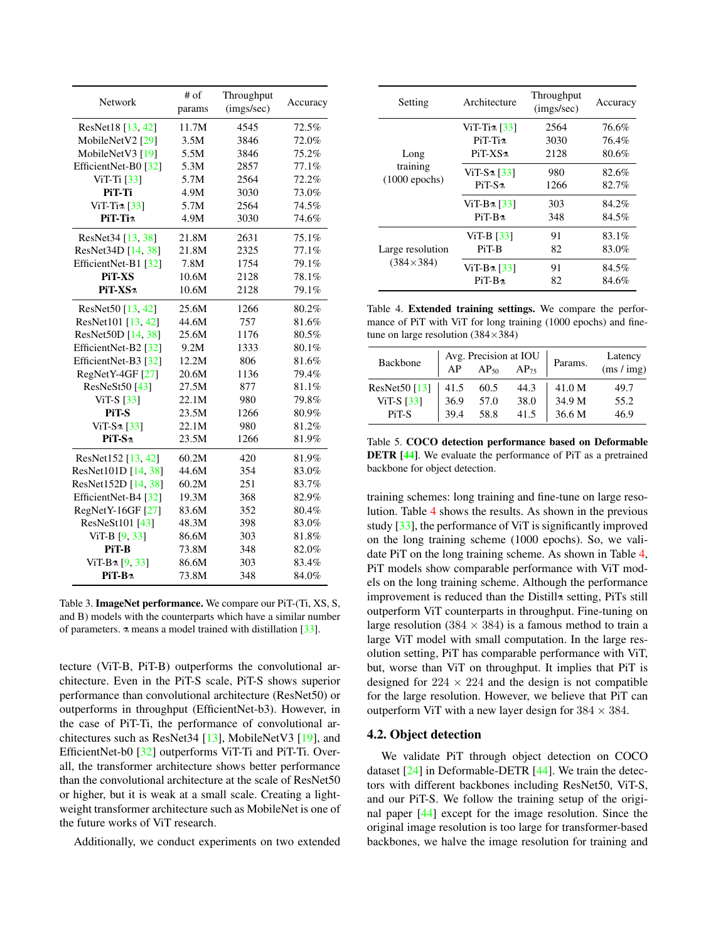<span id="page-6-3"></span><span id="page-6-0"></span>

| Network               | # of   | Throughput | Accuracy |  |
|-----------------------|--------|------------|----------|--|
|                       | params | (imgs/sec) |          |  |
| ResNet18 [13, 42]     | 11.7M  | 4545       | 72.5%    |  |
| MobileNetV2 [29]      | 3.5M   | 3846       | 72.0%    |  |
| MobileNetV3 [19]      | 5.5M   | 3846       | 75.2%    |  |
| EfficientNet-B0 [32]  | 5.3M   | 2857       | 77.1%    |  |
| ViT-Ti [33]           | 5.7M   | 2564       | 72.2%    |  |
| PiT-Ti                | 4.9M   | 3030       | 73.0%    |  |
| ViT-Ti $\approx$ [33] | 5.7M   | 2564       | 74.5%    |  |
| PiT-Ti <sub>7</sub>   | 4.9M   | 3030       | 74.6%    |  |
| ResNet34 [13, 38]     | 21.8M  | 2631       | 75.1%    |  |
| ResNet34D [14, 38]    | 21.8M  | 2325       | 77.1%    |  |
| EfficientNet-B1 [32]  | 7.8M   | 1754       | 79.1%    |  |
| <b>PiT-XS</b>         | 10.6M  | 2128       | 78.1%    |  |
| PiT-XS <sup>*</sup>   | 10.6M  | 2128       | 79.1%    |  |
| ResNet50 $[13, 42]$   | 25.6M  | 1266       | 80.2%    |  |
| ResNet101 [13, 42]    | 44.6M  | 757        | 81.6%    |  |
| ResNet50D [14, 38]    | 25.6M  | 1176       | 80.5%    |  |
| EfficientNet-B2 [32]  | 9.2M   | 1333       | 80.1%    |  |
| EfficientNet-B3 [32]  | 12.2M  | 806        | 81.6%    |  |
| RegNetY-4GF [27]      | 20.6M  | 1136       | 79.4%    |  |
| ResNeSt50 [43]        | 27.5M  | 877        | 81.1%    |  |
| ViT-S [33]            | 22.1M  | 980        | 79.8%    |  |
| PiT-S                 | 23.5M  | 1266       | 80.9%    |  |
| $ViT-S\approx [33]$   | 22.1M  | 980        | 81.2%    |  |
| $PiT-Sn$              | 23.5M  | 1266       | 81.9%    |  |
| ResNet152 [13, 42]    | 60.2M  | 420        | 81.9%    |  |
| ResNet101D [14, 38]   | 44.6M  | 354        | 83.0%    |  |
| ResNet152D [14, 38]   | 60.2M  | 251        | 83.7%    |  |
| EfficientNet-B4 [32]  | 19.3M  | 368        | 82.9%    |  |
| RegNetY-16GF [27]     | 83.6M  | 352        | 80.4%    |  |
| ResNeSt101 [43]       | 48.3M  | 398        | 83.0%    |  |
| ViT-B [9, 33]         | 86.6M  | 303        | 81.8%    |  |
| PiT-B                 | 73.8M  | 348        | 82.0%    |  |
| $ViT-B \land [9, 33]$ | 86.6M  | 303        | 83.4%    |  |
| PiT-B <sup>n</sup>    | 73.8M  | 348        | 84.0%    |  |

Table 3. ImageNet performance. We compare our PiT-(Ti, XS, S, and B) models with the counterparts which have a similar number of parameters. ⚗ means a model trained with distillation [\[33\]](#page-9-10).

tecture (ViT-B, PiT-B) outperforms the convolutional architecture. Even in the PiT-S scale, PiT-S shows superior performance than convolutional architecture (ResNet50) or outperforms in throughput (EfficientNet-b3). However, in the case of PiT-Ti, the performance of convolutional architectures such as ResNet34 [\[13\]](#page-8-2), MobileNetV3 [\[19\]](#page-8-9), and EfficientNet-b0 [\[32\]](#page-9-2) outperforms ViT-Ti and PiT-Ti. Overall, the transformer architecture shows better performance than the convolutional architecture at the scale of ResNet50 or higher, but it is weak at a small scale. Creating a lightweight transformer architecture such as MobileNet is one of the future works of ViT research.

Additionally, we conduct experiments on two extended

<span id="page-6-1"></span>

| Setting                 | Architecture          | Throughput<br>(imgs/sec) | Accuracy |
|-------------------------|-----------------------|--------------------------|----------|
|                         | ViT-Ti $\approx$ [33] | 2564                     | 76.6%    |
|                         | $PiT-Ti$              | 3030                     | 76.4%    |
| Long                    | $PiT-XS$              | 2128                     | 80.6%    |
| training                | $ViT-S\approx [33]$   | 980                      | 82.6%    |
| $(1000 \text{ epochs})$ | $PiT-S2$              | 1266                     | 82.7%    |
|                         | $ViT-B\approx [33]$   | 303                      | 84.2%    |
|                         | $Pi-R2$               | 348                      | 84.5%    |
|                         | ViT-B $[33]$          | 91                       | 83.1%    |
| Large resolution        | PiT-B                 | 82                       | 83.0%    |
| $(384\times384)$        | ViT-B $\approx$ [33]  | 91                       | 84.5%    |
|                         | $Pi$ -B <sub>2</sub>  | 82                       | 84.6%    |

Table 4. Extended training settings. We compare the performance of PiT with ViT for long training (1000 epochs) and finetune on large resolution  $(384\times384)$ 

<span id="page-6-2"></span>

| <b>Backbone</b> | Avg. Precision at IOU<br>$AP_{50}$<br>$AP_{75}$<br>AP |      |      | Params. | Latency<br>(ms / img) |
|-----------------|-------------------------------------------------------|------|------|---------|-----------------------|
| ResNet50 [13]   | 41.5                                                  | 60.5 | 44.3 | 41.0 M  | 49.7                  |
| $ViT-S [33]$    | 36.9                                                  | 57.0 | 38.0 | 34.9 M  | 55.2                  |
| PiT-S           | 39.4                                                  | 58.8 | 41.5 | 36.6 M  | 46.9                  |

Table 5. COCO detection performance based on Deformable DETR [\[44\]](#page-9-3). We evaluate the performance of PiT as a pretrained backbone for object detection.

training schemes: long training and fine-tune on large resolution. Table [4](#page-6-1) shows the results. As shown in the previous study [\[33\]](#page-9-10), the performance of ViT is significantly improved on the long training scheme (1000 epochs). So, we validate PiT on the long training scheme. As shown in Table [4,](#page-6-1) PiT models show comparable performance with ViT models on the long training scheme. Although the performance improvement is reduced than the Distill<sup>\*</sup> setting, PiTs still outperform ViT counterparts in throughput. Fine-tuning on large resolution (384  $\times$  384) is a famous method to train a large ViT model with small computation. In the large resolution setting, PiT has comparable performance with ViT, but, worse than ViT on throughput. It implies that PiT is designed for  $224 \times 224$  and the design is not compatible for the large resolution. However, we believe that PiT can outperform ViT with a new layer design for  $384 \times 384$ .

#### 4.2. Object detection

We validate PiT through object detection on COCO dataset [\[24\]](#page-8-8) in Deformable-DETR [\[44\]](#page-9-3). We train the detectors with different backbones including ResNet50, ViT-S, and our PiT-S. We follow the training setup of the original paper [\[44\]](#page-9-3) except for the image resolution. Since the original image resolution is too large for transformer-based backbones, we halve the image resolution for training and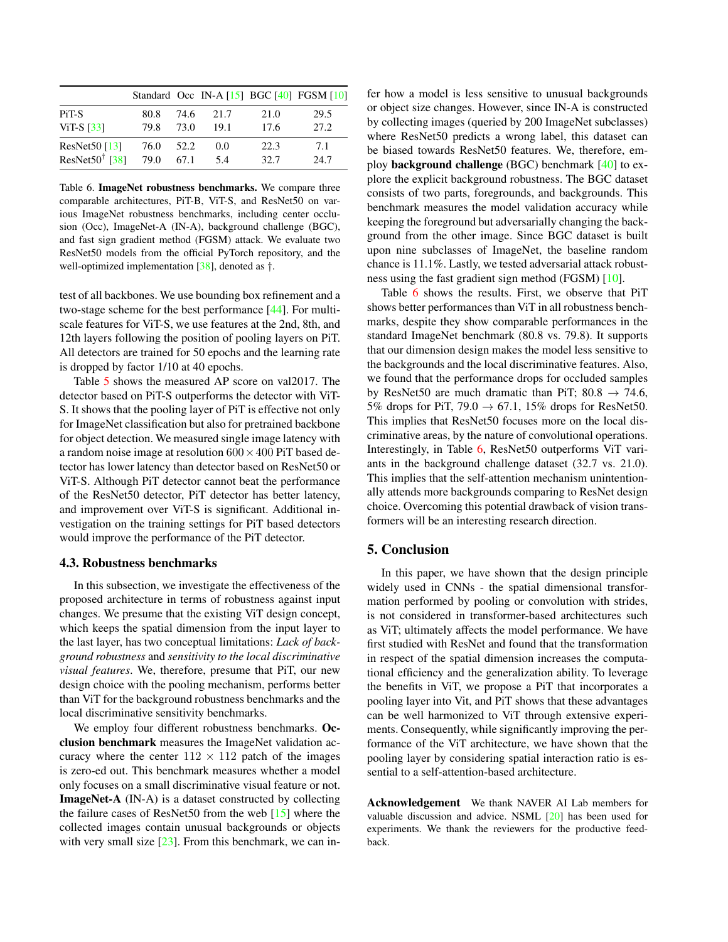<span id="page-7-1"></span><span id="page-7-0"></span>

|                                |      |      |      |      | Standard Occ IN-A $[15]$ BGC $[40]$ FGSM $[10]$ |
|--------------------------------|------|------|------|------|-------------------------------------------------|
| P <sub>i</sub> T <sub>-S</sub> | 80.8 | 74.6 | 21.7 | 21.0 | 29.5                                            |
| ViT-S $\left[33\right]$        | 79.8 | 73.0 | 19.1 | 17.6 | 27.2.                                           |
| ResNet $50$ [13]               | 76.0 | 52.2 | 0.0  | 22.3 | 7.1                                             |
| ResNet50 $\dagger$ [38]        | 79.0 | 67.1 | 5.4  | 32.7 | 24.7                                            |

Table 6. ImageNet robustness benchmarks. We compare three comparable architectures, PiT-B, ViT-S, and ResNet50 on various ImageNet robustness benchmarks, including center occlusion (Occ), ImageNet-A (IN-A), background challenge (BGC), and fast sign gradient method (FGSM) attack. We evaluate two ResNet50 models from the official PyTorch repository, and the well-optimized implementation [\[38\]](#page-9-14), denoted as †.

test of all backbones. We use bounding box refinement and a two-stage scheme for the best performance [\[44\]](#page-9-3). For multiscale features for ViT-S, we use features at the 2nd, 8th, and 12th layers following the position of pooling layers on PiT. All detectors are trained for 50 epochs and the learning rate is dropped by factor 1/10 at 40 epochs.

Table [5](#page-6-2) shows the measured AP score on val2017. The detector based on PiT-S outperforms the detector with ViT-S. It shows that the pooling layer of PiT is effective not only for ImageNet classification but also for pretrained backbone for object detection. We measured single image latency with a random noise image at resolution  $600 \times 400$  PiT based detector has lower latency than detector based on ResNet50 or ViT-S. Although PiT detector cannot beat the performance of the ResNet50 detector, PiT detector has better latency, and improvement over ViT-S is significant. Additional investigation on the training settings for PiT based detectors would improve the performance of the PiT detector.

### 4.3. Robustness benchmarks

In this subsection, we investigate the effectiveness of the proposed architecture in terms of robustness against input changes. We presume that the existing ViT design concept, which keeps the spatial dimension from the input layer to the last layer, has two conceptual limitations: *Lack of background robustness* and *sensitivity to the local discriminative visual features*. We, therefore, presume that PiT, our new design choice with the pooling mechanism, performs better than ViT for the background robustness benchmarks and the local discriminative sensitivity benchmarks.

We employ four different robustness benchmarks. Occlusion benchmark measures the ImageNet validation accuracy where the center  $112 \times 112$  patch of the images is zero-ed out. This benchmark measures whether a model only focuses on a small discriminative visual feature or not. ImageNet-A (IN-A) is a dataset constructed by collecting the failure cases of ResNet50 from the web [\[15\]](#page-8-23) where the collected images contain unusual backgrounds or objects with very small size  $[23]$ . From this benchmark, we can infer how a model is less sensitive to unusual backgrounds or object size changes. However, since IN-A is constructed by collecting images (queried by 200 ImageNet subclasses) where ResNet50 predicts a wrong label, this dataset can be biased towards ResNet50 features. We, therefore, employ background challenge (BGC) benchmark [\[40\]](#page-9-16) to explore the explicit background robustness. The BGC dataset consists of two parts, foregrounds, and backgrounds. This benchmark measures the model validation accuracy while keeping the foreground but adversarially changing the background from the other image. Since BGC dataset is built upon nine subclasses of ImageNet, the baseline random chance is 11.1%. Lastly, we tested adversarial attack robustness using the fast gradient sign method (FGSM) [\[10\]](#page-8-24).

Table [6](#page-7-0) shows the results. First, we observe that PiT shows better performances than ViT in all robustness benchmarks, despite they show comparable performances in the standard ImageNet benchmark (80.8 vs. 79.8). It supports that our dimension design makes the model less sensitive to the backgrounds and the local discriminative features. Also, we found that the performance drops for occluded samples by ResNet50 are much dramatic than PiT;  $80.8 \rightarrow 74.6$ , 5% drops for PiT, 79.0  $\rightarrow$  67.1, 15% drops for ResNet50. This implies that ResNet50 focuses more on the local discriminative areas, by the nature of convolutional operations. Interestingly, in Table [6,](#page-7-0) ResNet50 outperforms ViT variants in the background challenge dataset (32.7 vs. 21.0). This implies that the self-attention mechanism unintentionally attends more backgrounds comparing to ResNet design choice. Overcoming this potential drawback of vision transformers will be an interesting research direction.

### 5. Conclusion

In this paper, we have shown that the design principle widely used in CNNs - the spatial dimensional transformation performed by pooling or convolution with strides, is not considered in transformer-based architectures such as ViT; ultimately affects the model performance. We have first studied with ResNet and found that the transformation in respect of the spatial dimension increases the computational efficiency and the generalization ability. To leverage the benefits in ViT, we propose a PiT that incorporates a pooling layer into Vit, and PiT shows that these advantages can be well harmonized to ViT through extensive experiments. Consequently, while significantly improving the performance of the ViT architecture, we have shown that the pooling layer by considering spatial interaction ratio is essential to a self-attention-based architecture.

Acknowledgement We thank NAVER AI Lab members for valuable discussion and advice. NSML [\[20\]](#page-8-26) has been used for experiments. We thank the reviewers for the productive feedback.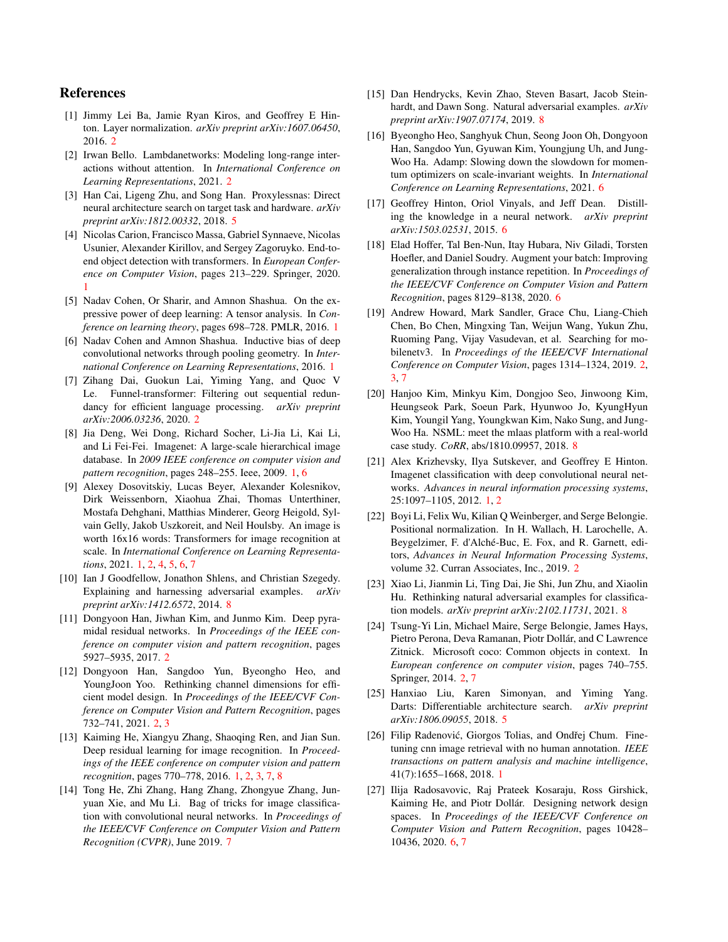## References

- <span id="page-8-15"></span>[1] Jimmy Lei Ba, Jamie Ryan Kiros, and Geoffrey E Hinton. Layer normalization. *arXiv preprint arXiv:1607.06450*, 2016. [2](#page-1-1)
- <span id="page-8-13"></span>[2] Irwan Bello. Lambdanetworks: Modeling long-range interactions without attention. In *International Conference on Learning Representations*, 2021. [2](#page-1-1)
- <span id="page-8-17"></span>[3] Han Cai, Ligeng Zhu, and Song Han. Proxylessnas: Direct neural architecture search on target task and hardware. *arXiv preprint arXiv:1812.00332*, 2018. [5](#page-4-2)
- <span id="page-8-0"></span>[4] Nicolas Carion, Francisco Massa, Gabriel Synnaeve, Nicolas Usunier, Alexander Kirillov, and Sergey Zagoruyko. End-toend object detection with transformers. In *European Conference on Computer Vision*, pages 213–229. Springer, 2020. [1](#page-0-0)
- <span id="page-8-7"></span>[5] Nadav Cohen, Or Sharir, and Amnon Shashua. On the expressive power of deep learning: A tensor analysis. In *Conference on learning theory*, pages 698–728. PMLR, 2016. [1](#page-0-0)
- <span id="page-8-5"></span>[6] Nadav Cohen and Amnon Shashua. Inductive bias of deep convolutional networks through pooling geometry. In *International Conference on Learning Representations*, 2016. [1](#page-0-0)
- <span id="page-8-12"></span>[7] Zihang Dai, Guokun Lai, Yiming Yang, and Quoc V Le. Funnel-transformer: Filtering out sequential redundancy for efficient language processing. *arXiv preprint arXiv:2006.03236*, 2020. [2](#page-1-1)
- <span id="page-8-3"></span>[8] Jia Deng, Wei Dong, Richard Socher, Li-Jia Li, Kai Li, and Li Fei-Fei. Imagenet: A large-scale hierarchical image database. In *2009 IEEE conference on computer vision and pattern recognition*, pages 248–255. Ieee, 2009. [1,](#page-0-0) [6](#page-5-1)
- <span id="page-8-1"></span>[9] Alexey Dosovitskiy, Lucas Beyer, Alexander Kolesnikov, Dirk Weissenborn, Xiaohua Zhai, Thomas Unterthiner, Mostafa Dehghani, Matthias Minderer, Georg Heigold, Sylvain Gelly, Jakob Uszkoreit, and Neil Houlsby. An image is worth 16x16 words: Transformers for image recognition at scale. In *International Conference on Learning Representations*, 2021. [1,](#page-0-0) [2,](#page-1-1) [4,](#page-3-2) [5,](#page-4-2) [6,](#page-5-1) [7](#page-6-3)
- <span id="page-8-24"></span>[10] Ian J Goodfellow, Jonathon Shlens, and Christian Szegedy. Explaining and harnessing adversarial examples. *arXiv preprint arXiv:1412.6572*, 2014. [8](#page-7-1)
- <span id="page-8-10"></span>[11] Dongyoon Han, Jiwhan Kim, and Junmo Kim. Deep pyramidal residual networks. In *Proceedings of the IEEE conference on computer vision and pattern recognition*, pages 5927–5935, 2017. [2](#page-1-1)
- <span id="page-8-11"></span>[12] Dongyoon Han, Sangdoo Yun, Byeongho Heo, and YoungJoon Yoo. Rethinking channel dimensions for efficient model design. In *Proceedings of the IEEE/CVF Conference on Computer Vision and Pattern Recognition*, pages 732–741, 2021. [2,](#page-1-1) [3](#page-2-1)
- <span id="page-8-2"></span>[13] Kaiming He, Xiangyu Zhang, Shaoqing Ren, and Jian Sun. Deep residual learning for image recognition. In *Proceedings of the IEEE conference on computer vision and pattern recognition*, pages 770–778, 2016. [1,](#page-0-0) [2,](#page-1-1) [3,](#page-2-1) [7,](#page-6-3) [8](#page-7-1)
- <span id="page-8-22"></span>[14] Tong He, Zhi Zhang, Hang Zhang, Zhongyue Zhang, Junyuan Xie, and Mu Li. Bag of tricks for image classification with convolutional neural networks. In *Proceedings of the IEEE/CVF Conference on Computer Vision and Pattern Recognition (CVPR)*, June 2019. [7](#page-6-3)
- <span id="page-8-23"></span>[15] Dan Hendrycks, Kevin Zhao, Steven Basart, Jacob Steinhardt, and Dawn Song. Natural adversarial examples. *arXiv preprint arXiv:1907.07174*, 2019. [8](#page-7-1)
- <span id="page-8-21"></span>[16] Byeongho Heo, Sanghyuk Chun, Seong Joon Oh, Dongyoon Han, Sangdoo Yun, Gyuwan Kim, Youngjung Uh, and Jung-Woo Ha. Adamp: Slowing down the slowdown for momentum optimizers on scale-invariant weights. In *International Conference on Learning Representations*, 2021. [6](#page-5-1)
- <span id="page-8-19"></span>[17] Geoffrey Hinton, Oriol Vinyals, and Jeff Dean. Distilling the knowledge in a neural network. *arXiv preprint arXiv:1503.02531*, 2015. [6](#page-5-1)
- <span id="page-8-18"></span>[18] Elad Hoffer, Tal Ben-Nun, Itay Hubara, Niv Giladi, Torsten Hoefler, and Daniel Soudry. Augment your batch: Improving generalization through instance repetition. In *Proceedings of the IEEE/CVF Conference on Computer Vision and Pattern Recognition*, pages 8129–8138, 2020. [6](#page-5-1)
- <span id="page-8-9"></span>[19] Andrew Howard, Mark Sandler, Grace Chu, Liang-Chieh Chen, Bo Chen, Mingxing Tan, Weijun Wang, Yukun Zhu, Ruoming Pang, Vijay Vasudevan, et al. Searching for mobilenetv3. In *Proceedings of the IEEE/CVF International Conference on Computer Vision*, pages 1314–1324, 2019. [2,](#page-1-1) [3,](#page-2-1) [7](#page-6-3)
- <span id="page-8-26"></span>[20] Hanjoo Kim, Minkyu Kim, Dongjoo Seo, Jinwoong Kim, Heungseok Park, Soeun Park, Hyunwoo Jo, KyungHyun Kim, Youngil Yang, Youngkwan Kim, Nako Sung, and Jung-Woo Ha. NSML: meet the mlaas platform with a real-world case study. *CoRR*, abs/1810.09957, 2018. [8](#page-7-1)
- <span id="page-8-4"></span>[21] Alex Krizhevsky, Ilya Sutskever, and Geoffrey E Hinton. Imagenet classification with deep convolutional neural networks. *Advances in neural information processing systems*, 25:1097–1105, 2012. [1,](#page-0-0) [2](#page-1-1)
- <span id="page-8-14"></span>[22] Boyi Li, Felix Wu, Kilian Q Weinberger, and Serge Belongie. Positional normalization. In H. Wallach, H. Larochelle, A. Beygelzimer, F. d'Alché-Buc, E. Fox, and R. Garnett, editors, *Advances in Neural Information Processing Systems*, volume 32. Curran Associates, Inc., 2019. [2](#page-1-1)
- <span id="page-8-25"></span>[23] Xiao Li, Jianmin Li, Ting Dai, Jie Shi, Jun Zhu, and Xiaolin Hu. Rethinking natural adversarial examples for classification models. *arXiv preprint arXiv:2102.11731*, 2021. [8](#page-7-1)
- <span id="page-8-8"></span>[24] Tsung-Yi Lin, Michael Maire, Serge Belongie, James Hays, Pietro Perona, Deva Ramanan, Piotr Dollár, and C Lawrence Zitnick. Microsoft coco: Common objects in context. In *European conference on computer vision*, pages 740–755. Springer, 2014. [2,](#page-1-1) [7](#page-6-3)
- <span id="page-8-16"></span>[25] Hanxiao Liu, Karen Simonyan, and Yiming Yang. Darts: Differentiable architecture search. *arXiv preprint arXiv:1806.09055*, 2018. [5](#page-4-2)
- <span id="page-8-6"></span>[26] Filip Radenović, Giorgos Tolias, and Ondřei Chum. Finetuning cnn image retrieval with no human annotation. *IEEE transactions on pattern analysis and machine intelligence*, 41(7):1655–1668, 2018. [1](#page-0-0)
- <span id="page-8-20"></span>[27] Ilija Radosavovic, Raj Prateek Kosaraju, Ross Girshick, Kaiming He, and Piotr Dollár. Designing network design spaces. In *Proceedings of the IEEE/CVF Conference on Computer Vision and Pattern Recognition*, pages 10428– 10436, 2020. [6,](#page-5-1) [7](#page-6-3)